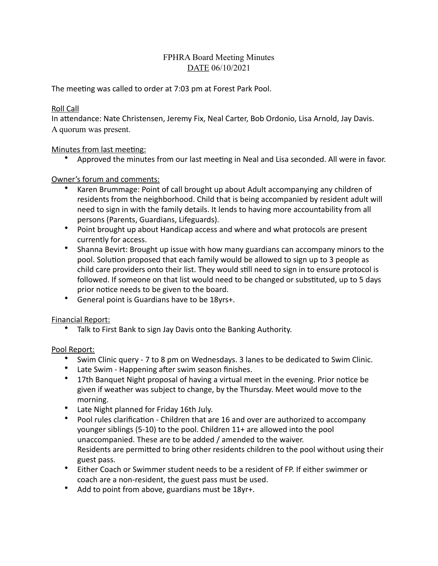# FPHRA Board Meeting Minutes DATE 06/10/2021

The meeting was called to order at 7:03 pm at Forest Park Pool.

#### Roll Call

In attendance: Nate Christensen, Jeremy Fix, Neal Carter, Bob Ordonio, Lisa Arnold, Jay Davis. A quorum was present.

## Minutes from last meeting:

• Approved the minutes from our last meeting in Neal and Lisa seconded. All were in favor.

## Owner's forum and comments:

- Karen Brummage: Point of call brought up about Adult accompanying any children of residents from the neighborhood. Child that is being accompanied by resident adult will need to sign in with the family details. It lends to having more accountability from all persons (Parents, Guardians, Lifeguards).
- Point brought up about Handicap access and where and what protocols are present currently for access.
- Shanna Bevirt: Brought up issue with how many guardians can accompany minors to the pool. Solution proposed that each family would be allowed to sign up to 3 people as child care providers onto their list. They would still need to sign in to ensure protocol is followed. If someone on that list would need to be changed or substituted, up to 5 days prior notice needs to be given to the board.
- General point is Guardians have to be 18yrs+.

## Financial Report:

• Talk to First Bank to sign Jay Davis onto the Banking Authority.

## Pool Report:

- Swim Clinic query 7 to 8 pm on Wednesdays. 3 lanes to be dedicated to Swim Clinic.
- Late Swim Happening after swim season finishes.
- 17th Banquet Night proposal of having a virtual meet in the evening. Prior notice be given if weather was subject to change, by the Thursday. Meet would move to the morning.
- Late Night planned for Friday 16th July.
- Pool rules clarification Children that are 16 and over are authorized to accompany younger siblings (5-10) to the pool. Children 11+ are allowed into the pool unaccompanied. These are to be added / amended to the waiver. Residents are permitted to bring other residents children to the pool without using their guest pass.
- Either Coach or Swimmer student needs to be a resident of FP. If either swimmer or coach are a non-resident, the guest pass must be used.
- Add to point from above, guardians must be 18yr+.